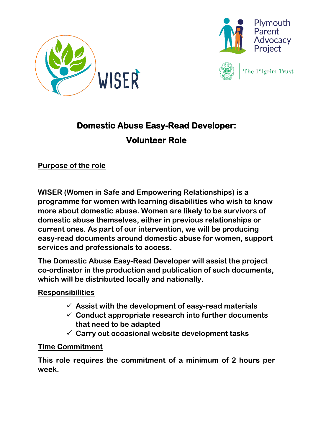



The Pilgrim Trust

## **Domestic Abuse Easy-Read Developer: Volunteer Role**

**Purpose of the role**

**WISER (Women in Safe and Empowering Relationships) is a programme for women with learning disabilities who wish to know more about domestic abuse. Women are likely to be survivors of domestic abuse themselves, either in previous relationships or current ones. As part of our intervention, we will be producing easy-read documents around domestic abuse for women, support services and professionals to access.**

**The Domestic Abuse Easy-Read Developer will assist the project co-ordinator in the production and publication of such documents, which will be distributed locally and nationally.**

## **Responsibilities**

- ✓ **Assist with the development of easy-read materials**
- ✓ **Conduct appropriate research into further documents that need to be adapted**
- ✓ **Carry out occasional website development tasks**

## **Time Commitment**

**This role requires the commitment of a minimum of 2 hours per week.**